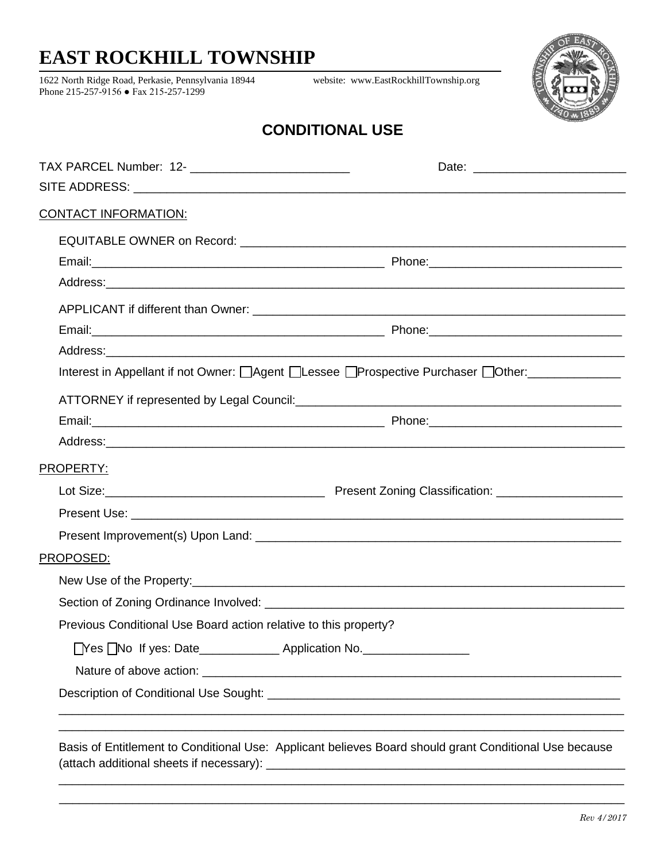## **EAST ROCKHILL TOWNSHIP**

1622 North Ridge Road, Perkasie, Pennsylvania 18944 website: [www.EastRockhillTownship.org](http://www.eastrockhilltownship.org/) Phone 215-257-9156 ● Fax 215-257-1299



## **CONDITIONAL USE**

| TAX PARCEL Number: 12- ____________________________              |                                                                                 |
|------------------------------------------------------------------|---------------------------------------------------------------------------------|
|                                                                  |                                                                                 |
| <u>CONTACT INFORMATION:</u>                                      |                                                                                 |
|                                                                  |                                                                                 |
|                                                                  |                                                                                 |
|                                                                  |                                                                                 |
|                                                                  |                                                                                 |
|                                                                  |                                                                                 |
|                                                                  |                                                                                 |
|                                                                  | Interest in Appellant if not Owner: Agent Alessee Prospective Purchaser Nother: |
|                                                                  |                                                                                 |
|                                                                  |                                                                                 |
|                                                                  |                                                                                 |
| PROPERTY:                                                        |                                                                                 |
|                                                                  |                                                                                 |
|                                                                  |                                                                                 |
|                                                                  |                                                                                 |
| PROPOSED:                                                        |                                                                                 |
|                                                                  |                                                                                 |
|                                                                  |                                                                                 |
| Previous Conditional Use Board action relative to this property? |                                                                                 |
|                                                                  |                                                                                 |
|                                                                  |                                                                                 |
|                                                                  |                                                                                 |

\_\_\_\_\_\_\_\_\_\_\_\_\_\_\_\_\_\_\_\_\_\_\_\_\_\_\_\_\_\_\_\_\_\_\_\_\_\_\_\_\_\_\_\_\_\_\_\_\_\_\_\_\_\_\_\_\_\_\_\_\_\_\_\_\_\_\_\_\_\_\_\_\_\_\_\_\_\_\_\_\_\_\_\_\_ \_\_\_\_\_\_\_\_\_\_\_\_\_\_\_\_\_\_\_\_\_\_\_\_\_\_\_\_\_\_\_\_\_\_\_\_\_\_\_\_\_\_\_\_\_\_\_\_\_\_\_\_\_\_\_\_\_\_\_\_\_\_\_\_\_\_\_\_\_\_\_\_\_\_\_\_\_\_\_\_\_\_\_\_\_

(attach additional sheets if necessary): \_\_\_\_\_\_\_\_\_\_\_\_\_\_\_\_\_\_\_\_\_\_\_\_\_\_\_\_\_\_\_\_\_\_\_\_\_\_\_\_\_\_\_\_\_\_\_\_\_\_\_\_\_\_